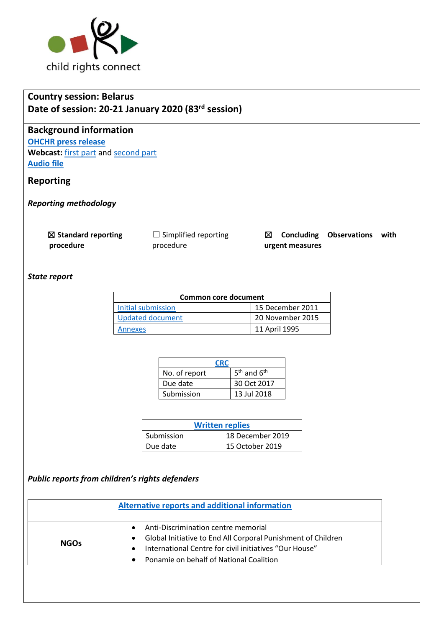

# **Country session: Belarus Date of session: 20-21 January 2020 (83rd session)**

# **Background information**

**[OHCHR press release](https://www.ohchr.org/EN/NewsEvents/Pages/DisplayNews.aspx?NewsID=25486&LangID=E)** Webcast: [first part](http://webtv.un.org/meetings-events/human-rights-treaty-bodies/watch/consideration-of-belarus-2432nd-meeting-83rd-session-committee-on-the-rights-of-the-child/6125019754001) an[d second part](http://webtv.un.org/meetings-events/human-rights-treaty-bodies/watch/consideration-of-belarus-contd-2433rd-meeting-83rd-session-committee-on-the-rights-of-the-child/6125207170001/?term=) **[Audio file](https://conf.unog.ch/digitalrecordings/)**

# **Reporting**

*Reporting methodology*

☒ **Standard reporting procedure**

 $\Box$  Simplified reporting procedure

☒ **Concluding Observations with urgent measures**

#### *State report*

| Common core document |                  |  |
|----------------------|------------------|--|
| Initial submission   | 15 December 2011 |  |
| Updated document     | 20 November 2015 |  |
| Annexes              | 11 April 1995    |  |

| <b>CRC</b>    |                 |  |
|---------------|-----------------|--|
| No. of report | $5th$ and $6th$ |  |
| Due date      | 30 Oct 2017     |  |
| Submission    | 13 Jul 2018     |  |

| <b>Written replies</b> |                  |  |  |
|------------------------|------------------|--|--|
| Submission             | 18 December 2019 |  |  |
| Due date               | 15 October 2019  |  |  |

# *Public reports from children's rights defenders*

| <b>NGOs</b> | Anti-Discrimination centre memorial                                       |
|-------------|---------------------------------------------------------------------------|
|             | Global Initiative to End All Corporal Punishment of Children<br>$\bullet$ |
|             | International Centre for civil initiatives "Our House"<br>$\bullet$       |
|             | Ponamie on behalf of National Coalition<br>$\bullet$                      |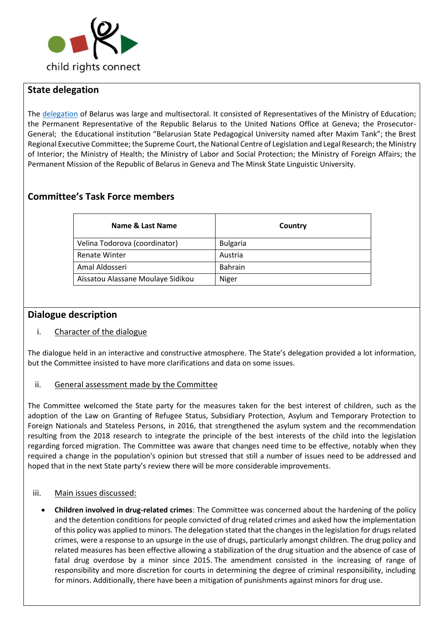

# **State delegation**

The [delegation](https://tbinternet.ohchr.org/_layouts/15/treatybodyexternal/Download.aspx?symbolno=INT%2fCRC%2fLOP%2fBLR%2f41013&Lang=en) of Belarus was large and multisectoral. It consisted of Representatives of the Ministry of Education; the Permanent Representative of the Republic Belarus to the United Nations Office at Geneva; the Prosecutor-General; the Educational institution "Belarusian State Pedagogical University named after Maxim Tank"; the Brest Regional Executive Committee; the Supreme Court, the National Centre of Legislation and Legal Research; the Ministry of Interior; the Ministry of Health; the Ministry of Labor and Social Protection; the Ministry of Foreign Affairs; the Permanent Mission of the Republic of Belarus in Geneva and The Minsk State Linguistic University.

# **Committee's Task Force members**

| Name & Last Name                  | Country         |
|-----------------------------------|-----------------|
| Velina Todorova (coordinator)     | <b>Bulgaria</b> |
| <b>Renate Winter</b>              | Austria         |
| Amal Aldosseri                    | <b>Bahrain</b>  |
| Aïssatou Alassane Moulaye Sidikou | Niger           |

#### **Dialogue description**

#### i. Character of the dialogue

The dialogue held in an interactive and constructive atmosphere. The State's delegation provided a lot information, but the Committee insisted to have more clarifications and data on some issues.

#### ii. General assessment made by the Committee

The Committee welcomed the State party for the measures taken for the best interest of children, such as the adoption of the Law on Granting of Refugee Status, Subsidiary Protection, Asylum and Temporary Protection to Foreign Nationals and Stateless Persons, in 2016, that strengthened the asylum system and the recommendation resulting from the 2018 research to integrate the principle of the best interests of the child into the legislation regarding forced migration. The Committee was aware that changes need time to be effective, notably when they required a change in the population's opinion but stressed that still a number of issues need to be addressed and hoped that in the next State party's review there will be more considerable improvements.

#### iii. Main issues discussed:

• **Children involved in drug-related crimes**: The Committee was concerned about the hardening of the policy and the detention conditions for people convicted of drug related crimes and asked how the implementation of this policy was applied to minors. The delegation stated that the changes in the legislation for drugs related crimes, were a response to an upsurge in the use of drugs, particularly amongst children. The drug policy and related measures has been effective allowing a stabilization of the drug situation and the absence of case of fatal drug overdose by a minor since 2015. The amendment consisted in the increasing of range of responsibility and more discretion for courts in determining the degree of criminal responsibility, including for minors. Additionally, there have been a mitigation of punishments against minors for drug use.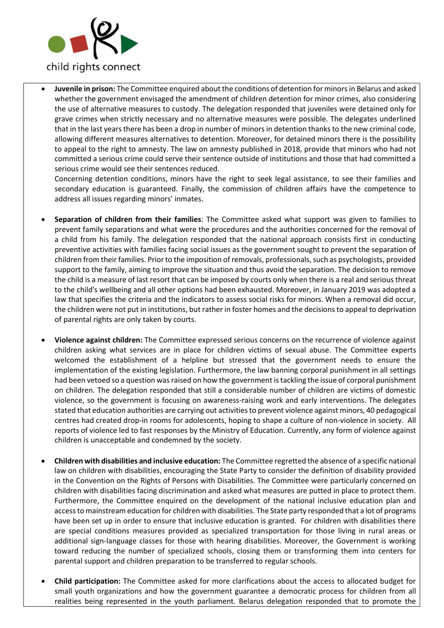

• **Juvenile in prison:** The Committee enquired about the conditions of detention for minors in Belarus and asked whether the government envisaged the amendment of children detention for minor crimes, also considering the use of alternative measures to custody. The delegation responded that juveniles were detained only for grave crimes when strictly necessary and no alternative measures were possible. The delegates underlined that in the last years there has been a drop in number of minors in detention thanks to the new criminal code, allowing different measures alternatives to detention. Moreover, for detained minors there is the possibility to appeal to the right to amnesty. The law on amnesty published in 2018, provide that minors who had not committed a serious crime could serve their sentence outside of institutions and those that had committed a serious crime would see their sentences reduced.

Concerning detention conditions, minors have the right to seek legal assistance, to see their families and secondary education is guaranteed. Finally, the commission of children affairs have the competence to address all issues regarding minors' inmates.

- **Separation of children from their families**: The Committee asked what support was given to families to prevent family separations and what were the procedures and the authorities concerned for the removal of a child from his family. The delegation responded that the national approach consists first in conducting preventive activities with families facing social issues as the government sought to prevent the separation of children from their families. Prior to the imposition of removals, professionals, such as psychologists, provided support to the family, aiming to improve the situation and thus avoid the separation. The decision to remove the child is a measure of last resort that can be imposed by courts only when there is a real and serious threat to the child's wellbeing and all other options had been exhausted. Moreover, in January 2019 was adopted a law that specifies the criteria and the indicators to assess social risks for minors. When a removal did occur, the children were not put in institutions, but rather in foster homes and the decisions to appeal to deprivation of parental rights are only taken by courts.
- **Violence against children:** The Committee expressed serious concerns on the recurrence of violence against children asking what services are in place for children victims of sexual abuse. The Committee experts welcomed the establishment of a helpline but stressed that the government needs to ensure the implementation of the existing legislation. Furthermore, the law banning corporal punishment in all settings had been vetoed so a question was raised on how the government is tackling the issue of corporal punishment on children. The delegation responded that still a considerable number of children are victims of domestic violence, so the government is focusing on awareness-raising work and early interventions. The delegates stated that education authorities are carrying out activities to prevent violence against minors, 40 pedagogical centres had created drop-in rooms for adolescents, hoping to shape a culture of non-violence in society. All reports of violence led to fast responses by the Ministry of Education. Currently, any form of violence against children is unacceptable and condemned by the society.
- **Children with disabilities and inclusive education:** The Committee regretted the absence of a specific national law on children with disabilities, encouraging the State Party to consider the definition of disability provided in the Convention on the Rights of Persons with Disabilities. The Committee were particularly concerned on children with disabilities facing discrimination and asked what measures are putted in place to protect them. Furthermore, the Committee enquired on the development of the national inclusive education plan and access to mainstream education for children with disabilities. The State party responded that a lot of programs have been set up in order to ensure that inclusive education is granted. For children with disabilities there are special conditions measures provided as specialized transportation for those living in rural areas or additional sign-language classes for those with hearing disabilities. Moreover, the Government is working toward reducing the number of specialized schools, closing them or transforming them into centers for parental support and children preparation to be transferred to regular schools.
- **Child participation:** The Committee asked for more clarifications about the access to allocated budget for small youth organizations and how the government guarantee a democratic process for children from all realities being represented in the youth parliament. Belarus delegation responded that to promote the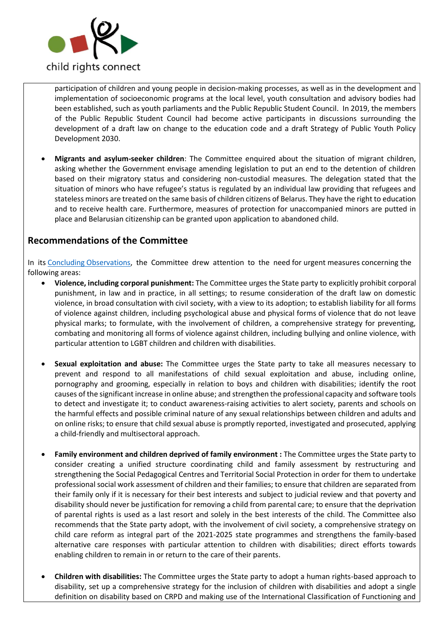

participation of children and young people in decision-making processes, as well as in the development and implementation of socioeconomic programs at the local level, youth consultation and advisory bodies had been established, such as youth parliaments and the Public Republic Student Council. In 2019, the members of the Public Republic Student Council had become active participants in discussions surrounding the development of a draft law on change to the education code and a draft Strategy of Public Youth Policy Development 2030.

• **Migrants and asylum-seeker children**: The Committee enquired about the situation of migrant children, asking whether the Government envisage amending legislation to put an end to the detention of children based on their migratory status and considering non-custodial measures. The delegation stated that the situation of minors who have refugee's status is regulated by an individual law providing that refugees and stateless minors are treated on the same basis of children citizens of Belarus. They have the right to education and to receive health care. Furthermore, measures of protection for unaccompanied minors are putted in place and Belarusian citizenship can be granted upon application to abandoned child.

# **Recommendations of the Committee**

In its [Concluding Observations,](https://tbinternet.ohchr.org/_layouts/15/treatybodyexternal/Download.aspx?symbolno=CRC%2fC%2fBLR%2fCO%2f5-6&Lang=en) the Committee drew attention to the need for urgent measures concerning the following areas:

- **Violence, including corporal punishment:** The Committee urges the State party to explicitly prohibit corporal punishment, in law and in practice, in all settings; to resume consideration of the draft law on domestic violence, in broad consultation with civil society, with a view to its adoption; to establish liability for all forms of violence against children, including psychological abuse and physical forms of violence that do not leave physical marks; to formulate, with the involvement of children, a comprehensive strategy for preventing, combating and monitoring all forms of violence against children, including bullying and online violence, with particular attention to LGBT children and children with disabilities.
- **Sexual exploitation and abuse:** The Committee urges the State party to take all measures necessary to prevent and respond to all manifestations of child sexual exploitation and abuse, including online, pornography and grooming, especially in relation to boys and children with disabilities; identify the root causes of the significant increase in online abuse; and strengthen the professional capacity and software tools to detect and investigate it; to conduct awareness-raising activities to alert society, parents and schools on the harmful effects and possible criminal nature of any sexual relationships between children and adults and on online risks; to ensure that child sexual abuse is promptly reported, investigated and prosecuted, applying a child-friendly and multisectoral approach.
- **Family environment and children deprived of family environment :** The Committee urges the State party to consider creating a unified structure coordinating child and family assessment by restructuring and strengthening the Social Pedagogical Centres and Territorial Social Protection in order for them to undertake professional social work assessment of children and their families; to ensure that children are separated from their family only if it is necessary for their best interests and subject to judicial review and that poverty and disability should never be justification for removing a child from parental care; to ensure that the deprivation of parental rights is used as a last resort and solely in the best interests of the child. The Committee also recommends that the State party adopt, with the involvement of civil society, a comprehensive strategy on child care reform as integral part of the 2021-2025 state programmes and strengthens the family-based alternative care responses with particular attention to children with disabilities; direct efforts towards enabling children to remain in or return to the care of their parents.
- **Children with disabilities:** The Committee urges the State party to adopt a human rights-based approach to disability, set up a comprehensive strategy for the inclusion of children with disabilities and adopt a single definition on disability based on CRPD and making use of the International Classification of Functioning and